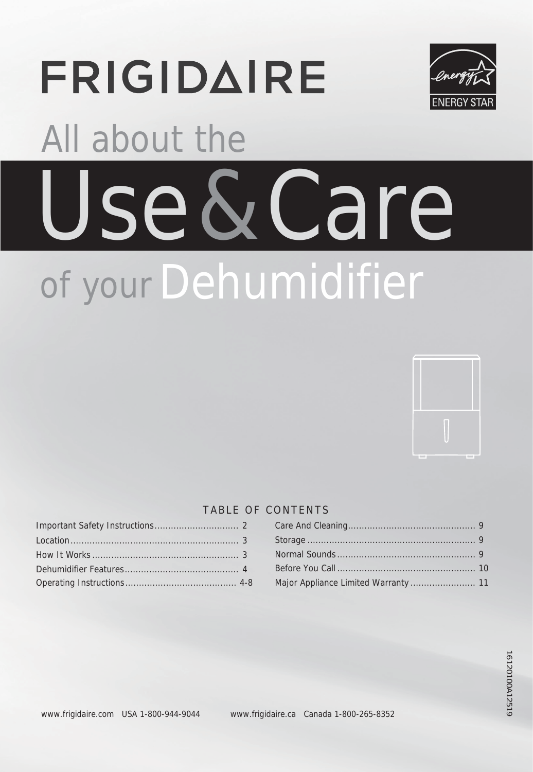# **FRIGIDAIRE**



# Use & Care of your Dehumidifier All about the



#### TABLE OF CONTENTS

#### ............................... 2 Care And Cleaning............................................... 9 Before You Call ................................................... 10 Major Appliance Limited Warranty ........................ 11 Normal Sounds ................................................... 9 Storage .............................................................. 9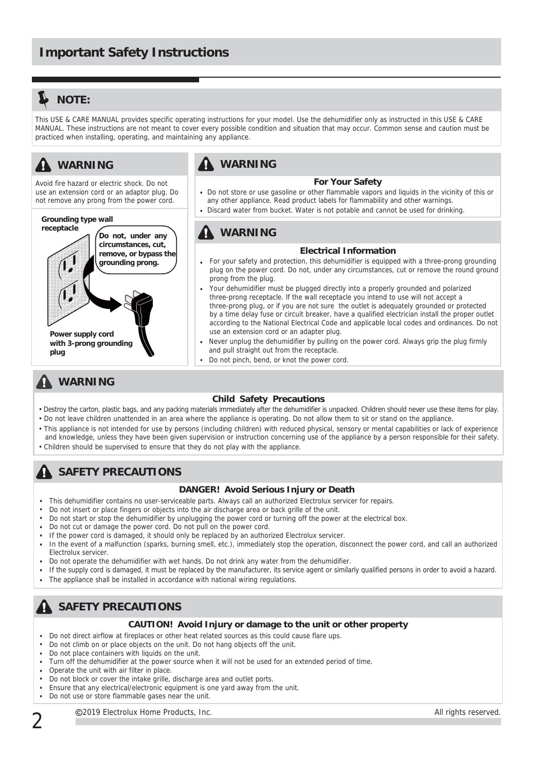# **L** NOTE:

This USE & CARE MANUAL provides specific operating instructions for your model. Use the dehumidifier only as instructed in this USE & CARE MANUAL. These instructions are not meant to cover every possible condition and situation that may occur. Common sense and caution must be practiced when installing, operating, and maintaining any appliance.

# **WARNING**

Avoid fire hazard or electric shock. Do not use an extension cord or an adaptor plug. Do not remove any prong from the power cord.

#### **Grounding type wall**



### **A** WARNING

#### **For Your Safety**

- Do not store or use gasoline or other flammable vapors and liquids in the vicinity of this or any other appliance. Read product labels for flammability and other warnings.
- Discard water from bucket. Water is not potable and cannot be used for drinking.

### **WARNING**

#### **Electrical Information**

- **•** For your safety and protection, this dehumidifier is equipped with a three-prong grounding plug on the power cord. Do not, under any circumstances, cut or remove the round ground prong from the plug.
- Your dehumidifier must be plugged directly into a properly grounded and polarized three-prong receptacle. lf the wall receptacle you intend to use will not accept a three-prong plug, or if you are not sure the outlet is adequately grounded or protected by a time delay fuse or circuit breaker, have a qualified electrician install the proper outlet according to the National Electrical Code and applicable local codes and ordinances. Do not use an extension cord or an adapter plug.
- Never unplug the dehumidifier by pulling on the power cord. Always grip the plug firmly and pull straight out from the receptacle.
- Do not pinch, bend, or knot the power cord.

#### **WARNING**

#### **Child Safety Precautions**

- Destroy the carton, plastic bags, and any packing materials immediately after the dehumidifier is unpacked. Children should never use these items for play. • Do not leave children unattended in an area where the appliance is operating. Do not allow them to sit or stand on the appliance.
- This appliance is not intended for use by persons (including children) with reduced physical, sensory or mental capabilities or lack of experience and knowledge, unless they have been given supervision or instruction concerning use of the appliance by a person responsible for their safety. • Children should be supervised to ensure that they do not play with the appliance.

## **A** SAFETY PRECAUTIONS

#### **DANGER! Avoid Serious Injury or Death**

- This dehumidifier contains no user-serviceable parts. Always call an authorized Electrolux servicer for repairs.
- Do not insert or place fingers or objects into the air discharge area or back grille of the unit.
- Do not start or stop the dehumidifier by unplugging the power cord or turning off the power at the electrical box.
- Do not cut or damage the power cord. Do not pull on the power cord.
- If the power cord is damaged, it should only be replaced by an authorized Electrolux servicer.
- In the event of a malfunction (sparks, burning smell, etc.), immediately stop the operation, disconnect the power cord, and call an authorized Electrolux servicer.
- Do not operate the dehumidifier with wet hands. Do not drink any water from the dehumidifier.
- If the supply cord is damaged, it must be replaced by the manufacturer, its service agent or similarly qualified persons in order to avoid a hazard. The appliance shall be installed in accordance with national wiring regulations.
- 

# **SAFETY PRECAUTIONS**

#### **CAUTION! Avoid Injury or damage to the unit or other property**

- Do not direct airflow at fireplaces or other heat related sources as this could cause flare ups.
- Do not climb on or place objects on the unit. Do not hang objects off the unit.
- Do not place containers with liquids on the unit.
- Turn off the dehumidifier at the power source when it will not be used for an extended period of time.
- Operate the unit with air filter in place.
- Do not block or cover the intake grille, discharge area and outlet ports.
- Ensure that any electrical/electronic equipment is one yard away from the unit.
- $\mathbf{r}$ Do not use or store flammable gases near the unit.

C2019 Electrolux Home Products, Inc. **All rights reserved.** All rights reserved.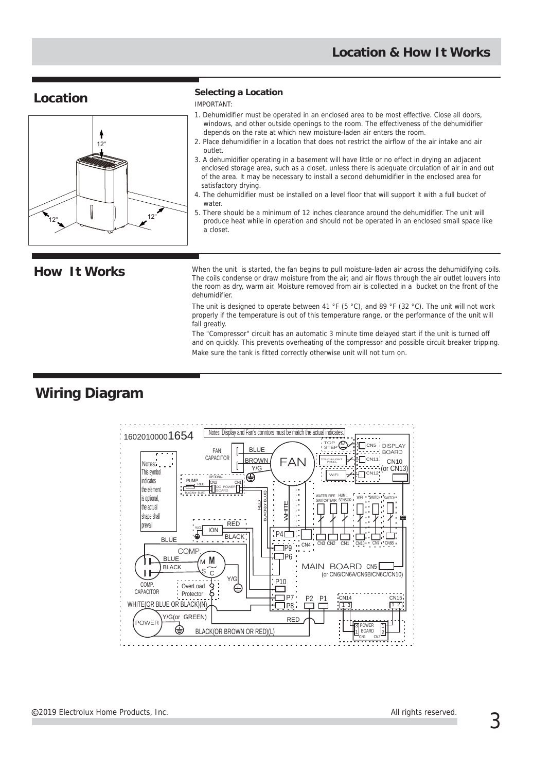

#### **Location Selecting a Location**

IMPORTANT:

- 1. Dehumidifier must be operated in an enclosed area to be most effective. Close all doors, windows, and other outside openings to the room. The effectiveness of the dehumidifier depends on the rate at which new moisture-laden air enters the room.
- 2. Place dehumidifier in a location that does not restrict the airflow of the air intake and air outlet.
- 3. A dehumidifier operating in a basement will have little or no effect in drying an adjacent enclosed storage area, such as a closet, unless there is adequate circulation of air in and out of the area. lt may be necessary to install a second dehumidifier in the enclosed area for satisfactory drying.
- 4. The dehumidifier must be installed on a level floor that will support it with a full bucket of water.
- 5. There should be a minimum of 12 inches clearance around the dehumidifier. The unit will produce heat while in operation and should not be operated in an enclosed small space like a closet.

How It Works When the unit is started, the fan begins to pull moisture-laden air across the dehumidifying coils. The coils condense or draw moisture from the air, and air flows through the air outlet louvers into the room as dry, warm air. Moisture removed from air is collected in a bucket on the front of the dehumidifier.

> The unit is designed to operate between 41 °F (5 °C), and 89 °F (32 °C). The unit will not work properly if the temperature is out of this temperature range, or the performance of the unit will fall greatly.

The "Compressor" circuit has an automatic 3 minute time delayed start if the unit is turned off and on quickly. This prevents overheating of the compressor and possible circuit breaker tripping. Make sure the tank is fitted correctly otherwise unit will not turn on.

## **Wiring Diagram**

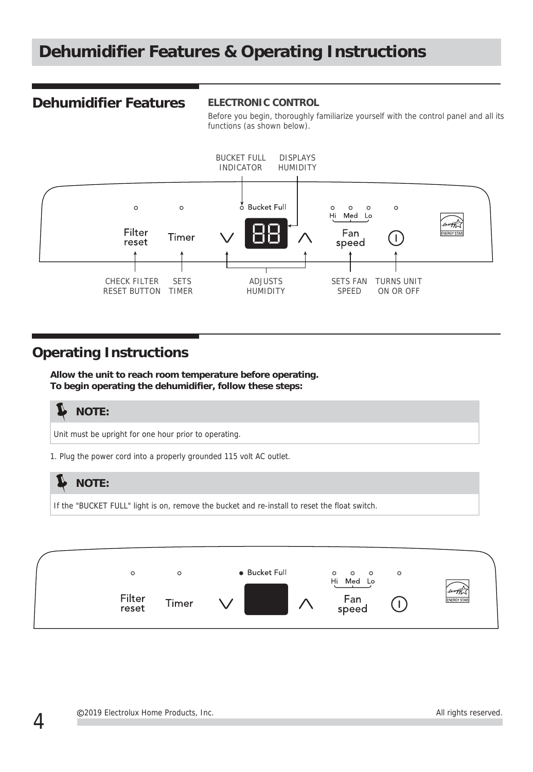# **Dehumidifier Features & Operating Instructions**

#### **Dehumidifier Features**

#### **ELECTRONIC CONTROL**

Before you begin, thoroughly familiarize yourself with the control panel and all its functions (as shown below).



#### **Operating Instructions**

**Allow the unit to reach room temperature before operating. To begin operating the dehumidifier, follow these steps:**





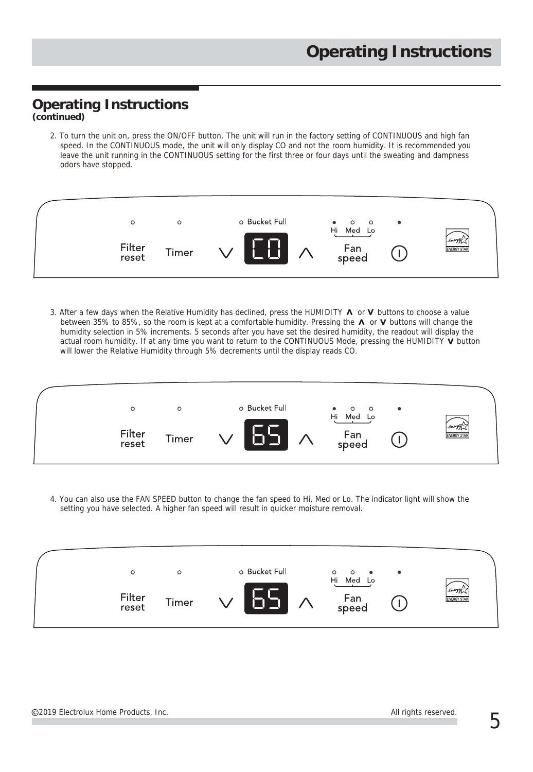# **Operating Instructions**

**(continued)**

2. To turn the unit on, press the ON/OFF button. The unit will run in the factory setting of CONTINUOUS and high fan speed. In the CONTINUOUS mode, the unit will only display CO and not the room humidity. It is recommended you leave the unit running in the CONTINUOUS setting for the first three or four days until the sweating and dampness odors have stopped.



3. After a few days when the Relative Humidity has declined, press the HUMIDITY  $\Lambda$  or V buttons to choose a value between 35% to 85%, so the room is kept at a comfortable humidity. Pressing the  $\Lambda$  or V buttons will change the humidity selection in 5% increments. 5 seconds after you have set the desired humidity, the readout will display the actual room humidity. If at any time you want to return to the CONTINUOUS Mode, pressing the HUMIDITY V button will lower the Relative Humidity through 5% decrements until the display reads CO.



4. You can also use the FAN SPEED button to change the fan speed to Hi, Med or Lo. The indicator light will show the setting you have selected. A higher fan speed will result in quicker moisture removal.

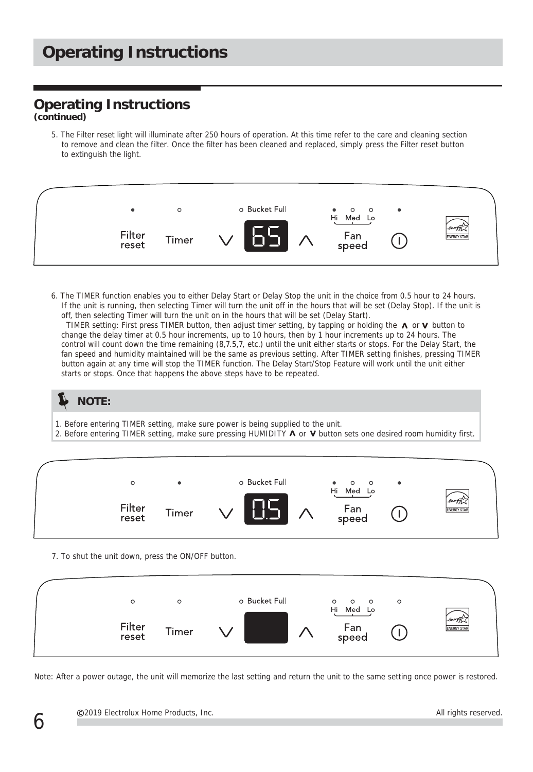# **Operating Instructions**

# **Operating Instructions**

**(continued)**

5. The Filter reset light will illuminate after 250 hours of operation. At this time refer to the care and cleaning section to remove and clean the filter. Once the filter has been cleaned and replaced, simply press the Filter reset button to extinguish the light.



6. The TIMER function enables you to either Delay Start or Delay Stop the unit in the choice from 0.5 hour to 24 hours. If the unit is running, then selecting Timer will turn the unit off in the hours that will be set (Delay Stop). If the unit is off, then selecting Timer will turn the unit on in the hours that will be set (Delay Start).

TIMER setting: First press TIMER button, then adjust timer setting, by tapping or holding the  $\Lambda$  or V button to change the delay timer at 0.5 hour increments, up to 10 hours, then by 1 hour increments up to 24 hours. The control will count down the time remaining (8,7.5,7, etc.) until the unit either starts or stops. For the Delay Start, the fan speed and humidity maintained will be the same as previous setting. After TIMER setting finishes, pressing TIMER button again at any time will stop the TIMER function. The Delay Start/Stop Feature will work until the unit either starts or stops. Once that happens the above steps have to be repeated.

**NOTE:**

- 1. Before entering TIMER setting, make sure power is being supplied to the unit.
- 2. Before entering TIMER setting, make sure pressing HUMIDITY  $\Lambda$  or V button sets one desired room humidity first.



7. To shut the unit down, press the ON/OFF button.



Note: After a power outage, the unit will memorize the last setting and return the unit to the same setting once power is restored.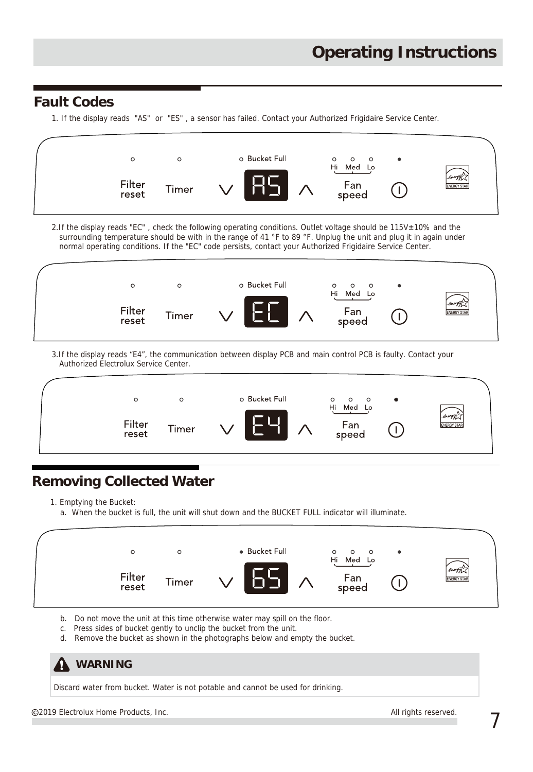### **Fault Codes**

1. If the display reads "AS" or "ES" , a sensor has failed. Contact your Authorized Frigidaire Service Center.



2.If the display reads "EC" , check the following operating conditions. Outlet voltage should be 115V±10% and the surrounding temperature should be with in the range of 41 °F to 89 °F. Unplug the unit and plug it in again under normal operating conditions. If the "EC" code persists, contact your Authorized Frigidaire Service Center.



3.If the display reads "E4", the communication between display PCB and main control PCB is faulty. Contact your Authorized Electrolux Service Center.



# **Removing Collected Water**

1. Emptying the Bucket:

a. When the bucket is full, the unit will shut down and the BUCKET FULL indicator will illuminate.



- b. Do not move the unit at this time otherwise water may spill on the floor.
- c. Press sides of bucket gently to unclip the bucket from the unit.
- d. Remove the bucket as shown in the photographs below and empty the bucket.

| A | WARN |
|---|------|
|---|------|

Discard water from bucket. Water is not potable and cannot be used for drinking.

2019 Electrolux Home Products, Inc.  $\overline{ }$ 

**ING**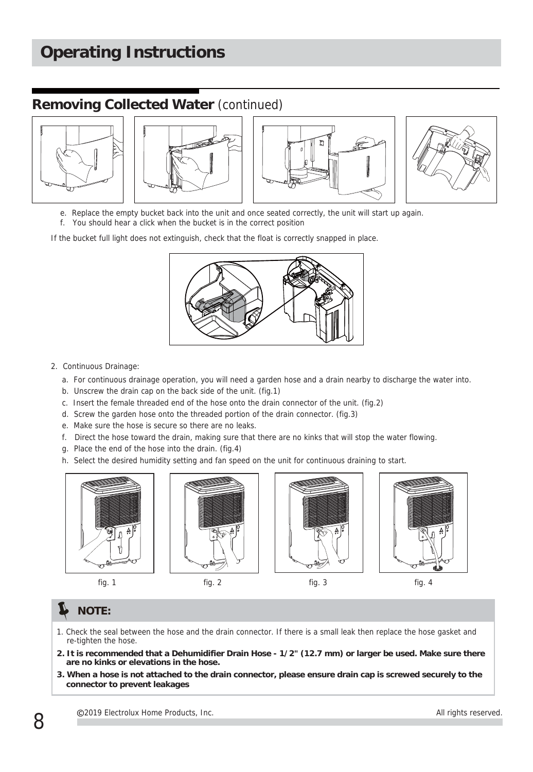# **Operating Instructions**

#### **Removing Collected Water** (continued)









- e. Replace the empty bucket back into the unit and once seated correctly, the unit will start up again.
- f. You should hear a click when the bucket is in the correct position

If the bucket full light does not extinguish, check that the float is correctly snapped in place.



- 2. Continuous Drainage:
	- a. For continuous drainage operation, you will need a garden hose and a drain nearby to discharge the water into.
	- b. Unscrew the drain cap on the back side of the unit. (fig.1)
	- c. Insert the female threaded end of the hose onto the drain connector of the unit. (fig.2)
	- d. Screw the garden hose onto the threaded portion of the drain connector. (fig.3)
	- e. Make sure the hose is secure so there are no leaks.
	- f. Direct the hose toward the drain, making sure that there are no kinks that will stop the water flowing.
	- g. Place the end of the hose into the drain. (fig.4)
	- h. Select the desired humidity setting and fan speed on the unit for continuous draining to start.









fig. 1 fig. 2 fig. 3 fig. 4

#### **NOTE:**

- 1. Check the seal between the hose and the drain connector. If there is a small leak then replace the hose gasket and re-tighten the hose.
- **2. It is recommended that a Dehumidifier Drain Hose 1/2" (12.7 mm) or larger be used. Make sure there are no kinks or elevations in the hose.**
- **3. When a hose is not attached to the drain connector, please ensure drain cap is screwed securely to the connector to prevent leakages**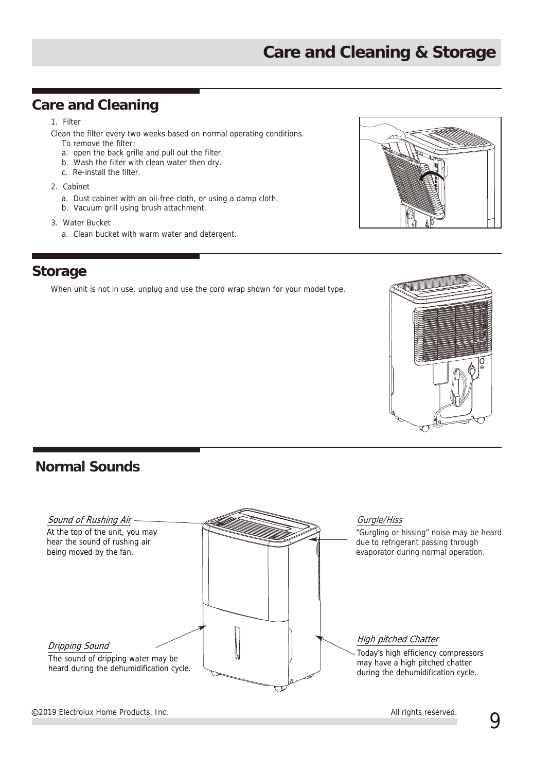#### **Care and Cleaning**

#### 1. Filter

Clean the filter every two weeks based on normal operating conditions.

- To remove the filter: a. open the back grille and pull out the filter.
- b. Wash the filter with clean water then dry.
- c. Re-install the filter.
- 2. Cabinet
	- a. Dust cabinet with an oil-free cloth, or using a damp cloth.
	- b. Vacuum grill using brush attachment.
- 3. Water Bucket
	- a. Clean bucket with warm water and detergent.



When unit is not in use, unplug and use the cord wrap shown for your model type.



### **Normal Sounds**



2019 Electrolux Home Products, Inc.  $\boldsymbol{9}$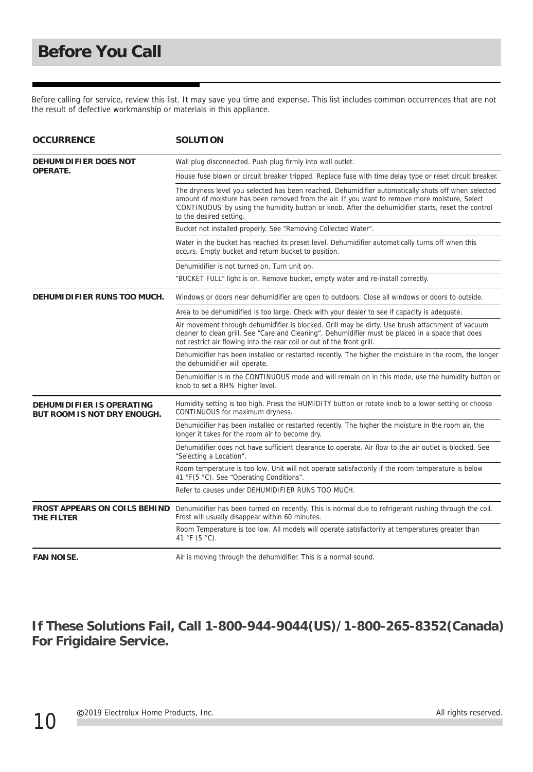Before calling for service, review this list. It may save you time and expense. This list includes common occurrences that are not the result of defective workmanship or materials in this appliance.

| <b>OCCURRENCE</b>                                               | <b>SOLUTION</b>                                                                                                                                                                                                                                                                                                                        |
|-----------------------------------------------------------------|----------------------------------------------------------------------------------------------------------------------------------------------------------------------------------------------------------------------------------------------------------------------------------------------------------------------------------------|
| <b>DEHUMIDIFIER DOES NOT</b><br>OPERATE.                        | Wall plug disconnected. Push plug firmly into wall outlet.                                                                                                                                                                                                                                                                             |
|                                                                 | House fuse blown or circuit breaker tripped. Replace fuse with time delay type or reset circuit breaker.                                                                                                                                                                                                                               |
|                                                                 | The dryness level you selected has been reached. Dehumidifier automatically shuts off when selected<br>amount of moisture has been removed from the air. If you want to remove more moisture, Select<br>'CONTINUOUS' by using the humidity button or knob. After the dehumidifier starts, reset the control<br>to the desired setting. |
|                                                                 | Bucket not installed properly. See "Removing Collected Water".                                                                                                                                                                                                                                                                         |
|                                                                 | Water in the bucket has reached its preset level. Dehumidifier automatically turns off when this<br>occurs. Empty bucket and return bucket to position.                                                                                                                                                                                |
|                                                                 | Dehumidifier is not turned on. Turn unit on.                                                                                                                                                                                                                                                                                           |
|                                                                 | "BUCKET FULL" light is on. Remove bucket, empty water and re-install correctly.                                                                                                                                                                                                                                                        |
| DEHUMIDIFIER RUNS TOO MUCH.                                     | Windows or doors near dehumidifier are open to outdoors. Close all windows or doors to outside.                                                                                                                                                                                                                                        |
|                                                                 | Area to be dehumidified is too large. Check with your dealer to see if capacity is adequate.                                                                                                                                                                                                                                           |
|                                                                 | Air movement through dehumidifier is blocked. Grill may be dirty. Use brush attachment of vacuum<br>cleaner to clean grill. See "Care and Cleaning". Dehumidifier must be placed in a space that does<br>not restrict air flowing into the rear coil or out of the front grill.                                                        |
|                                                                 | Dehumidifier has been installed or restarted recently. The higher the moistuire in the room, the longer<br>the dehumidifier will operate.                                                                                                                                                                                              |
|                                                                 | Dehumidifier is in the CONTINUOUS mode and will remain on in this mode, use the humidity button or<br>knob to set a RH% higher level.                                                                                                                                                                                                  |
| DEHUMIDIFIER IS OPERATING<br><b>BUT ROOM IS NOT DRY ENOUGH.</b> | Humidity setting is too high. Press the HUMIDITY button or rotate knob to a lower setting or choose<br>CONTINUOUS for maximum dryness.                                                                                                                                                                                                 |
|                                                                 | Dehumidifier has been installed or restarted recently. The higher the moisture in the room air, the<br>longer it takes for the room air to become dry.                                                                                                                                                                                 |
|                                                                 | Dehumidifier does not have sufficient clearance to operate. Air flow to the air outlet is blocked. See<br>"Selecting a Location".                                                                                                                                                                                                      |
|                                                                 | Room temperature is too low. Unit will not operate satisfactorily if the room temperature is below<br>41 °F(5 °C). See "Operating Conditions".                                                                                                                                                                                         |
|                                                                 | Refer to causes under DEHUMIDIFIER RUNS TOO MUCH.                                                                                                                                                                                                                                                                                      |
| <b>FROST APPEARS ON COILS BEHIND</b><br>THE FILTER              | Dehumidifier has been turned on recently. This is normal due to refrigerant rushing through the coil.<br>Frost will usually disappear within 60 minutes.                                                                                                                                                                               |
|                                                                 | Room Temperature is too low. All models will operate satisfactorily at temperatures greater than<br>41 °F (5 °C).                                                                                                                                                                                                                      |
| <b>FAN NOISE.</b>                                               | Air is moving through the dehumidifier. This is a normal sound.                                                                                                                                                                                                                                                                        |

**If These Solutions Fail, Call 1-800-944-9044(US)/1-800-265-8352(Canada) For Frigidaire Service.**